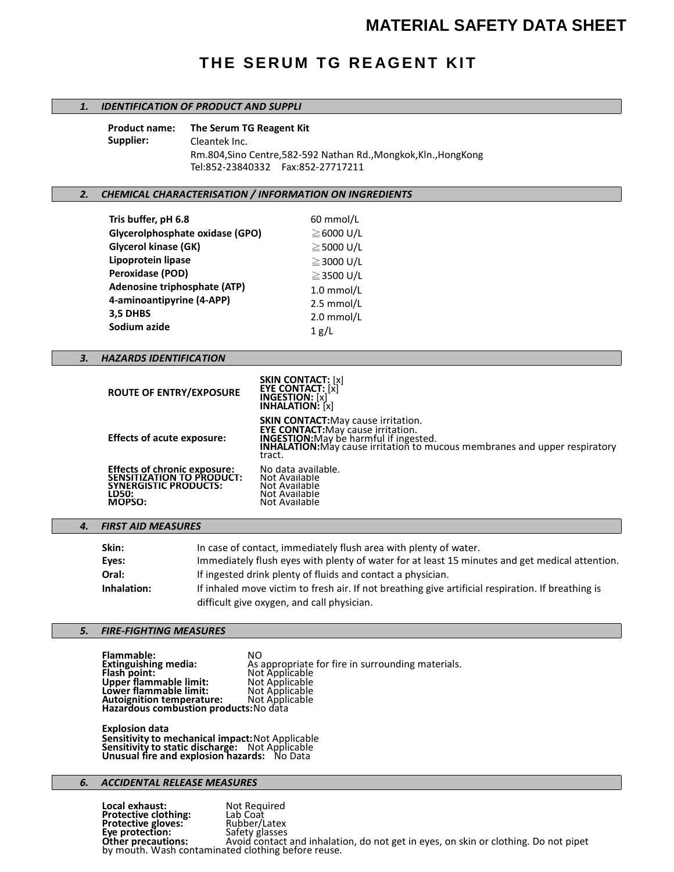# **MATERIAL SAFETY DATA SHEET**

# **THE SERUM TG REAGENT KIT**

## *1. IDENTIFICATION OF PRODUCT AND SUPPLI*

| Product name: | The Serum TG Reagent Kit                                          |
|---------------|-------------------------------------------------------------------|
| Supplier:     | Cleantek Inc.                                                     |
|               | Rm.804, Sino Centre, 582-592 Nathan Rd., Mongkok, Kln., Hong Kong |
|               |                                                                   |

#### *2. CHEMICAL CHARACTERISATION / INFORMATION ON INGREDIENTS*

| Tris buffer, pH 6.8             | 60 mmol/L       |
|---------------------------------|-----------------|
| Glycerolphosphate oxidase (GPO) | $\geq$ 6000 U/L |
| <b>Glycerol kinase (GK)</b>     | $\geq$ 5000 U/L |
| Lipoprotein lipase              | $\geq$ 3000 U/L |
| <b>Peroxidase (POD)</b>         | $\geq$ 3500 U/L |
| Adenosine triphosphate (ATP)    | $1.0$ mmol/L    |
| 4-aminoantipyrine (4-APP)       | $2.5$ mmol/L    |
| 3,5 DHBS                        | $2.0$ mmol/L    |
| Sodium azide                    | 1 g/L           |

# *3. HAZARDS IDENTIFICATION*

| <b>ROUTE OF ENTRY/EXPOSURE</b>                                                                                             | <b>SKIN CONTACT:</b> [x]<br><b>EYE CONTACT:</b> [x]<br><b>INGESTION:</b> [x]<br><b>INHALATION:</b> [x]                                                                                                                           |
|----------------------------------------------------------------------------------------------------------------------------|----------------------------------------------------------------------------------------------------------------------------------------------------------------------------------------------------------------------------------|
| <b>Effects of acute exposure:</b>                                                                                          | <b>SKIN CONTACT:</b> May cause irritation.<br>EYE CONTACT: May cause irritation.<br><b>INGESTION:</b> May be harmful if ingested.<br><b>INHALATION:</b> May cause irritation to mucous membranes and upper respiratory<br>tract. |
| <b>Effects of chronic exposure:</b><br><b>SENSITIZATION TO PRODUCT:</b><br><b>SYNERGISTIC PRODUCTS:</b><br>LD50:<br>MOPSO: | No data available.<br>Not Available<br>Not Available<br>Not Available<br>Not Available                                                                                                                                           |

## *4. FIRST AID MEASURES*

| Skin:       | In case of contact, immediately flush area with plenty of water.                                   |
|-------------|----------------------------------------------------------------------------------------------------|
| Eyes:       | Immediately flush eyes with plenty of water for at least 15 minutes and get medical attention.     |
| Oral:       | If ingested drink plenty of fluids and contact a physician.                                        |
| Inhalation: | If inhaled move victim to fresh air. If not breathing give artificial respiration. If breathing is |
|             | difficult give oxygen, and call physician.                                                         |

#### *5. FIRE-FIGHTING MEASURES*

**Flammable:** NO As appropriate for fire in surrounding materials.<br>Not Applicable<br>Not Applicable **Extinguishing media:**<br>Flash point: **Upper flammable limit:** Not Applicable<br> **Lower flammable limit:** Not Applicable<br> **Autoignition temperature:** Not Applicable **Lower flammable limit: Autoignition temperature: Hazardous combustion products:**No data

**Explosion data Sensitivity to mechanical impact:**Not Applicable **Sensitivity to static discharge:** Not Applicable **Unusual fire and explosion hazards:** No Data

## *6. ACCIDENTAL RELEASE MEASURES*

**Local exhaust:** Not Required<br> **Protective clothing:** Lab Coat<br> **Protective gloves:** Rubber/Latex **Protective clothing: Protective gloves:** Rubber/Latex **Eye protection:** Safety glasses **Protection:** Safety glasses<br> **Other precautions:** Avoid contact and inhalation, do not get in eyes, on skin or clothing. Do not pipet<br> **Other precautions:** And acthing before rouse by mouth. Wash contaminated clothing before reuse.